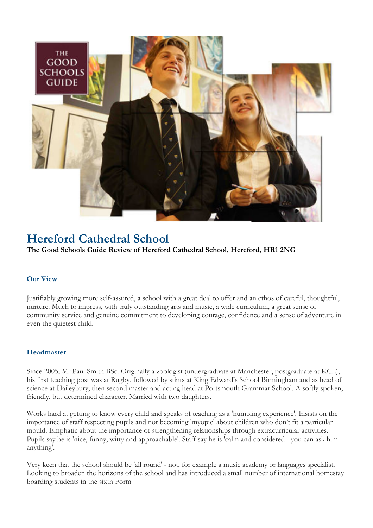

# Hereford Cathedral School

# The Good Schools Guide Review of Hereford Cathedral School, Hereford, HR1 2NG

# Our View

Justifiably growing more self-assured, a school with a great deal to offer and an ethos of careful, thoughtful, nurture. Much to impress, with truly outstanding arts and music, a wide curriculum, a great sense of community service and genuine commitment to developing courage, confidence and a sense of adventure in even the quietest child.

### Headmaster

Since 2005, Mr Paul Smith BSc. Originally a zoologist (undergraduate at Manchester, postgraduate at KCL), his first teaching post was at Rugby, followed by stints at King Edward's School Birmingham and as head of science at Haileybury, then second master and acting head at Portsmouth Grammar School. A softly spoken, friendly, but determined character. Married with two daughters.

Works hard at getting to know every child and speaks of teaching as a 'humbling experience'. Insists on the importance of staff respecting pupils and not becoming 'myopic' about children who don't fit a particular mould. Emphatic about the importance of strengthening relationships through extracurricular activities. Pupils say he is 'nice, funny, witty and approachable'. Staff say he is 'calm and considered - you can ask him anything'.

Very keen that the school should be 'all round' - not, for example a music academy or languages specialist. Looking to broaden the horizons of the school and has introduced a small number of international homestay boarding students in the sixth Form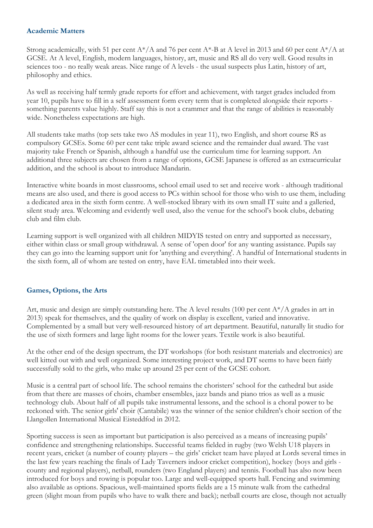## Academic Matters

Strong academically, with 51 per cent A\*/A and 76 per cent A\*-B at A level in 2013 and 60 per cent A\*/A at GCSE. At A level, English, modern languages, history, art, music and RS all do very well. Good results in sciences too - no really weak areas. Nice range of A levels - the usual suspects plus Latin, history of art, philosophy and ethics.

As well as receiving half termly grade reports for effort and achievement, with target grades included from year 10, pupils have to fill in a self assessment form every term that is completed alongside their reports something parents value highly. Staff say this is not a crammer and that the range of abilities is reasonably wide. Nonetheless expectations are high.

All students take maths (top sets take two AS modules in year 11), two English, and short course RS as compulsory GCSEs. Some 60 per cent take triple award science and the remainder dual award. The vast majority take French or Spanish, although a handful use the curriculum time for learning support. An additional three subjects are chosen from a range of options, GCSE Japanese is offered as an extracurricular addition, and the school is about to introduce Mandarin.

Interactive white boards in most classrooms, school email used to set and receive work - although traditional means are also used, and there is good access to PCs within school for those who wish to use them, including a dedicated area in the sixth form centre. A well-stocked library with its own small IT suite and a galleried, silent study area. Welcoming and evidently well used, also the venue for the school's book clubs, debating club and film club.

Learning support is well organized with all children MIDYIS tested on entry and supported as necessary, either within class or small group withdrawal. A sense of 'open door' for any wanting assistance. Pupils say they can go into the learning support unit for 'anything and everything'. A handful of International students in the sixth form, all of whom are tested on entry, have EAL timetabled into their week.

# Games, Options, the Arts

Art, music and design are simply outstanding here. The A level results (100 per cent  $A^*/A$  grades in art in 2013) speak for themselves, and the quality of work on display is excellent, varied and innovative. Complemented by a small but very well-resourced history of art department. Beautiful, naturally lit studio for the use of sixth formers and large light rooms for the lower years. Textile work is also beautiful.

At the other end of the design spectrum, the DT workshops (for both resistant materials and electronics) are well kitted out with and well organized. Some interesting project work, and DT seems to have been fairly successfully sold to the girls, who make up around 25 per cent of the GCSE cohort.

Music is a central part of school life. The school remains the choristers' school for the cathedral but aside from that there are masses of choirs, chamber ensembles, jazz bands and piano trios as well as a music technology club. About half of all pupils take instrumental lessons, and the school is a choral power to be reckoned with. The senior girls' choir (Cantabile) was the winner of the senior children's choir section of the Llangollen International Musical Eisteddfod in 2012.

Sporting success is seen as important but participation is also perceived as a means of increasing pupils' confidence and strengthening relationships. Successful teams fielded in rugby (two Welsh U18 players in recent years, cricket (a number of county players – the girls' cricket team have played at Lords several times in the last few years reaching the finals of Lady Taverners indoor cricket competition), hockey (boys and girls county and regional players), netball, rounders (two England players) and tennis. Football has also now been introduced for boys and rowing is popular too. Large and well-equipped sports hall. Fencing and swimming also available as options. Spacious, well-maintained sports fields are a 15 minute walk from the cathedral green (slight moan from pupils who have to walk there and back); netball courts are close, though not actually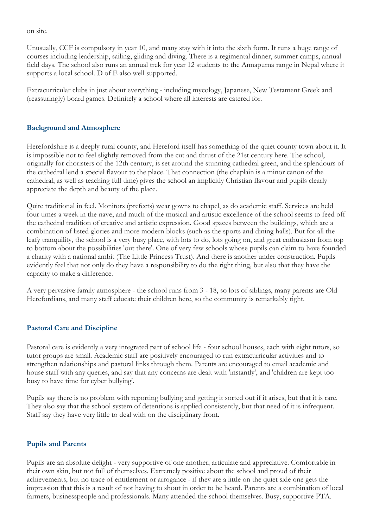on site.

Unusually, CCF is compulsory in year 10, and many stay with it into the sixth form. It runs a huge range of courses including leadership, sailing, gliding and diving. There is a regimental dinner, summer camps, annual field days. The school also runs an annual trek for year 12 students to the Annapurna range in Nepal where it supports a local school. D of E also well supported.

Extracurricular clubs in just about everything - including mycology, Japanese, New Testament Greek and (reassuringly) board games. Definitely a school where all interests are catered for.

#### Background and Atmosphere

Herefordshire is a deeply rural county, and Hereford itself has something of the quiet county town about it. It is impossible not to feel slightly removed from the cut and thrust of the 21st century here. The school, originally for choristers of the 12th century, is set around the stunning cathedral green, and the splendours of the cathedral lend a special flavour to the place. That connection (the chaplain is a minor canon of the cathedral, as well as teaching full time) gives the school an implicitly Christian flavour and pupils clearly appreciate the depth and beauty of the place.

Quite traditional in feel. Monitors (prefects) wear gowns to chapel, as do academic staff. Services are held four times a week in the nave, and much of the musical and artistic excellence of the school seems to feed off the cathedral tradition of creative and artistic expression. Good spaces between the buildings, which are a combination of listed glories and more modern blocks (such as the sports and dining halls). But for all the leafy tranquility, the school is a very busy place, with lots to do, lots going on, and great enthusiasm from top to bottom about the possibilities 'out there'. One of very few schools whose pupils can claim to have founded a charity with a national ambit (The Little Princess Trust). And there is another under construction. Pupils evidently feel that not only do they have a responsibility to do the right thing, but also that they have the capacity to make a difference.

A very pervasive family atmosphere - the school runs from 3 - 18, so lots of siblings, many parents are Old Herefordians, and many staff educate their children here, so the community is remarkably tight.

#### Pastoral Care and Discipline

Pastoral care is evidently a very integrated part of school life - four school houses, each with eight tutors, so tutor groups are small. Academic staff are positively encouraged to run extracurricular activities and to strengthen relationships and pastoral links through them. Parents are encouraged to email academic and house staff with any queries, and say that any concerns are dealt with 'instantly', and 'children are kept too busy to have time for cyber bullying'.

Pupils say there is no problem with reporting bullying and getting it sorted out if it arises, but that it is rare. They also say that the school system of detentions is applied consistently, but that need of it is infrequent. Staff say they have very little to deal with on the disciplinary front.

#### Pupils and Parents

Pupils are an absolute delight - very supportive of one another, articulate and appreciative. Comfortable in their own skin, but not full of themselves. Extremely positive about the school and proud of their achievements, but no trace of entitlement or arrogance - if they are a little on the quiet side one gets the impression that this is a result of not having to shout in order to be heard. Parents are a combination of local farmers, businesspeople and professionals. Many attended the school themselves. Busy, supportive PTA.